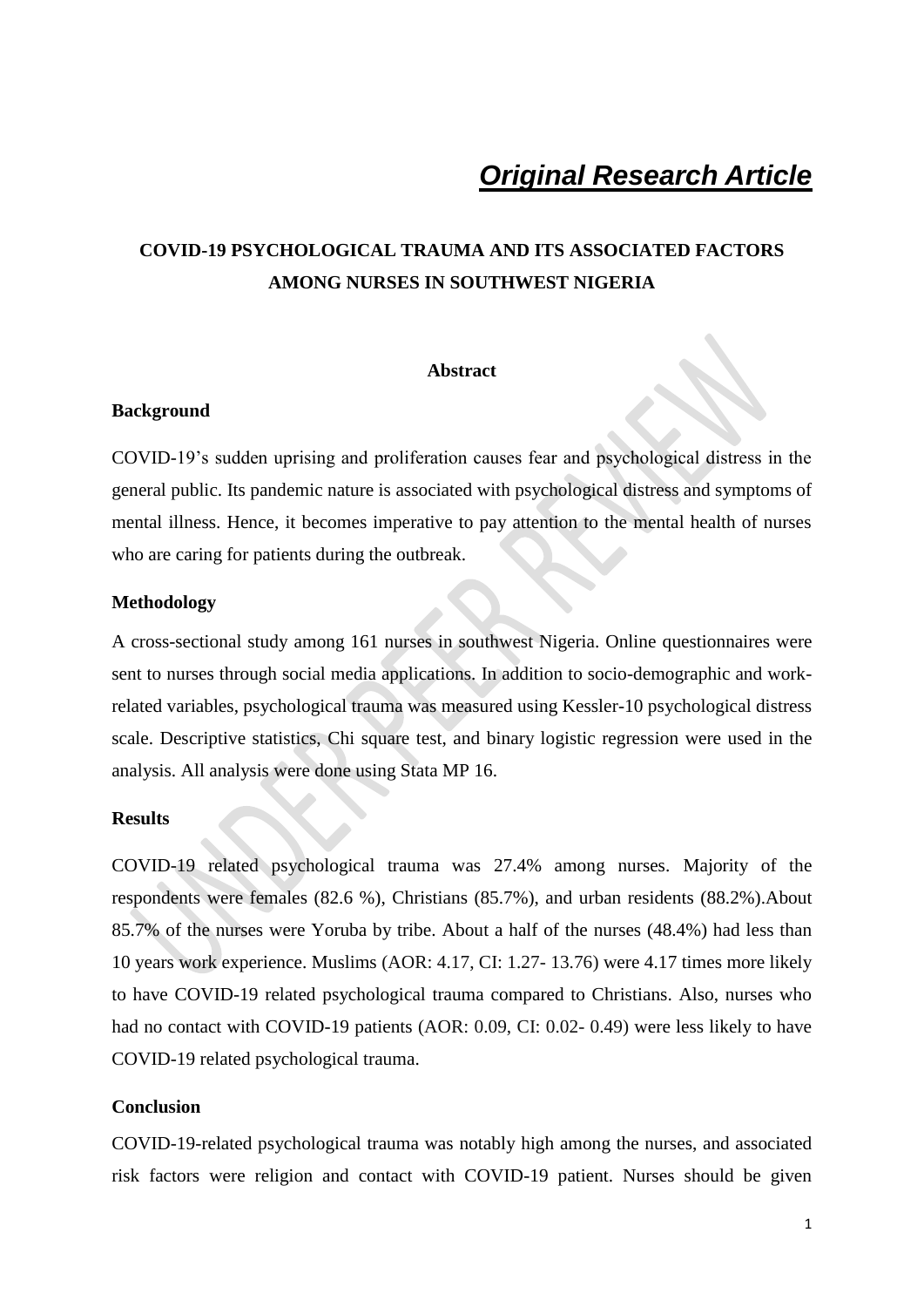# *Original Research Article*

## **COVID-19 PSYCHOLOGICAL TRAUMA AND ITS ASSOCIATED FACTORS AMONG NURSES IN SOUTHWEST NIGERIA**

## **Abstract**

## **Background**

COVID-19's sudden uprising and proliferation causes fear and psychological distress in the general public. Its pandemic nature is associated with psychological distress and symptoms of mental illness. Hence, it becomes imperative to pay attention to the mental health of nurses who are caring for patients during the outbreak.

## **Methodology**

A cross-sectional study among 161 nurses in southwest Nigeria. Online questionnaires were sent to nurses through social media applications. In addition to socio-demographic and workrelated variables, psychological trauma was measured using Kessler-10 psychological distress scale. Descriptive statistics, Chi square test, and binary logistic regression were used in the analysis. All analysis were done using Stata MP 16.

#### **Results**

COVID-19 related psychological trauma was 27.4% among nurses. Majority of the respondents were females (82.6 %), Christians (85.7%), and urban residents (88.2%).About 85.7% of the nurses were Yoruba by tribe. About a half of the nurses (48.4%) had less than 10 years work experience. Muslims (AOR: 4.17, CI: 1.27- 13.76) were 4.17 times more likely to have COVID-19 related psychological trauma compared to Christians. Also, nurses who had no contact with COVID-19 patients (AOR: 0.09, CI: 0.02- 0.49) were less likely to have COVID-19 related psychological trauma.

### **Conclusion**

COVID-19-related psychological trauma was notably high among the nurses, and associated risk factors were religion and contact with COVID-19 patient. Nurses should be given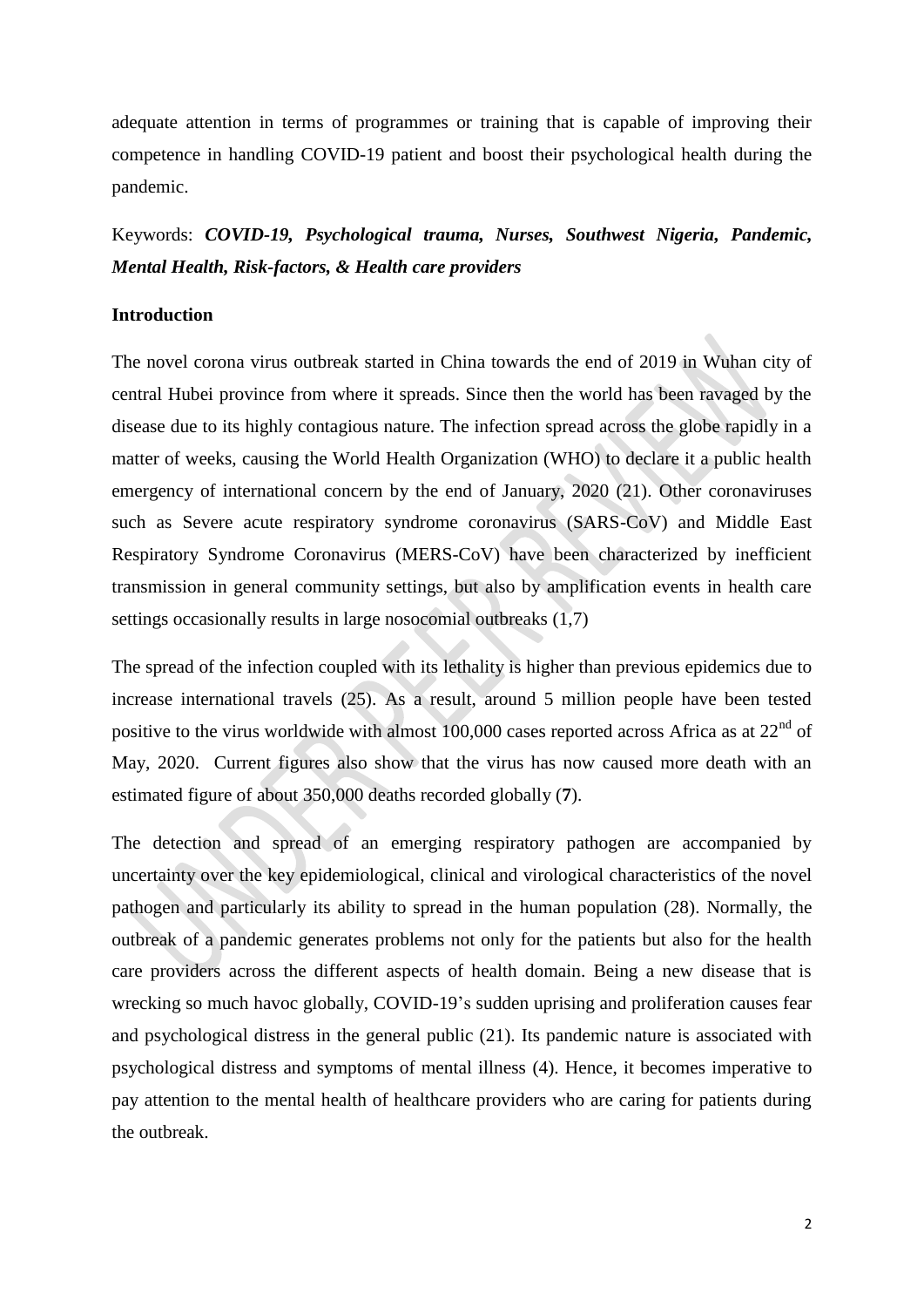adequate attention in terms of programmes or training that is capable of improving their competence in handling COVID-19 patient and boost their psychological health during the pandemic.

Keywords: *COVID-19, Psychological trauma, Nurses, Southwest Nigeria, Pandemic, Mental Health, Risk-factors, & Health care providers*

## **Introduction**

The novel corona virus outbreak started in China towards the end of 2019 in Wuhan city of central Hubei province from where it spreads. Since then the world has been ravaged by the disease due to its highly contagious nature. The infection spread across the globe rapidly in a matter of weeks, causing the World Health Organization (WHO) to declare it a public health emergency of international concern by the end of January, 2020 (21). Other coronaviruses such as Severe acute respiratory syndrome coronavirus (SARS-CoV) and Middle East Respiratory Syndrome Coronavirus (MERS-CoV) have been characterized by inefficient transmission in general community settings, but also by amplification events in health care settings occasionally results in large nosocomial outbreaks (1,7)

The spread of the infection coupled with its lethality is higher than previous epidemics due to increase international travels (25). As a result, around 5 million people have been tested positive to the virus worldwide with almost 100,000 cases reported across Africa as at  $22<sup>nd</sup>$  of May, 2020. Current figures also show that the virus has now caused more death with an estimated figure of about 350,000 deaths recorded globally (**7**).

The detection and spread of an emerging respiratory pathogen are accompanied by uncertainty over the key epidemiological, clinical and virological characteristics of the novel pathogen and particularly its ability to spread in the human population (28). Normally, the outbreak of a pandemic generates problems not only for the patients but also for the health care providers across the different aspects of health domain. Being a new disease that is wrecking so much havoc globally, COVID-19's sudden uprising and proliferation causes fear and psychological distress in the general public (21). Its pandemic nature is associated with psychological distress and symptoms of mental illness (4). Hence, it becomes imperative to pay attention to the mental health of healthcare providers who are caring for patients during the outbreak.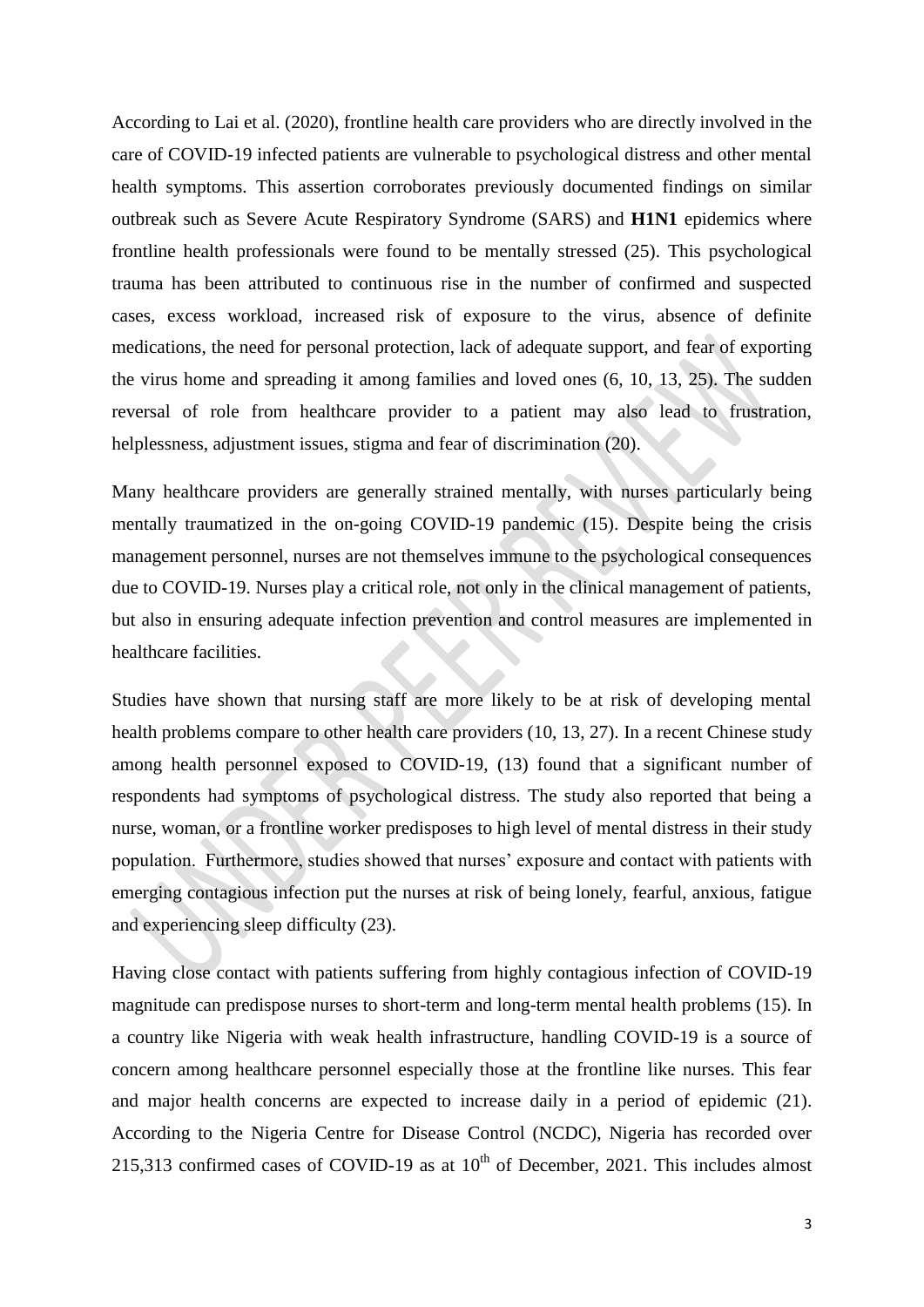According to Lai et al. (2020), frontline health care providers who are directly involved in the care of COVID-19 infected patients are vulnerable to psychological distress and other mental health symptoms. This assertion corroborates previously documented findings on similar outbreak such as Severe Acute Respiratory Syndrome (SARS) and **H1N1** epidemics where frontline health professionals were found to be mentally stressed (25). This psychological trauma has been attributed to continuous rise in the number of confirmed and suspected cases, excess workload, increased risk of exposure to the virus, absence of definite medications, the need for personal protection, lack of adequate support, and fear of exporting the virus home and spreading it among families and loved ones (6, 10, 13, 25). The sudden reversal of role from healthcare provider to a patient may also lead to frustration, helplessness, adjustment issues, stigma and fear of discrimination (20).

Many healthcare providers are generally strained mentally, with nurses particularly being mentally traumatized in the on-going COVID-19 pandemic (15). Despite being the crisis management personnel, nurses are not themselves immune to the psychological consequences due to COVID-19. Nurses play a critical role, not only in the clinical management of patients, but also in ensuring adequate infection prevention and control measures are implemented in healthcare facilities.

Studies have shown that nursing staff are more likely to be at risk of developing mental health problems compare to other health care providers (10, 13, 27). In a recent Chinese study among health personnel exposed to COVID-19, (13) found that a significant number of respondents had symptoms of psychological distress. The study also reported that being a nurse, woman, or a frontline worker predisposes to high level of mental distress in their study population. Furthermore, studies showed that nurses' exposure and contact with patients with emerging contagious infection put the nurses at risk of being lonely, fearful, anxious, fatigue and experiencing sleep difficulty (23).

Having close contact with patients suffering from highly contagious infection of COVID-19 magnitude can predispose nurses to short-term and long-term mental health problems (15). In a country like Nigeria with weak health infrastructure, handling COVID-19 is a source of concern among healthcare personnel especially those at the frontline like nurses. This fear and major health concerns are expected to increase daily in a period of epidemic (21). According to the Nigeria Centre for Disease Control (NCDC), Nigeria has recorded over 215,313 confirmed cases of COVID-19 as at  $10^{th}$  of December, 2021. This includes almost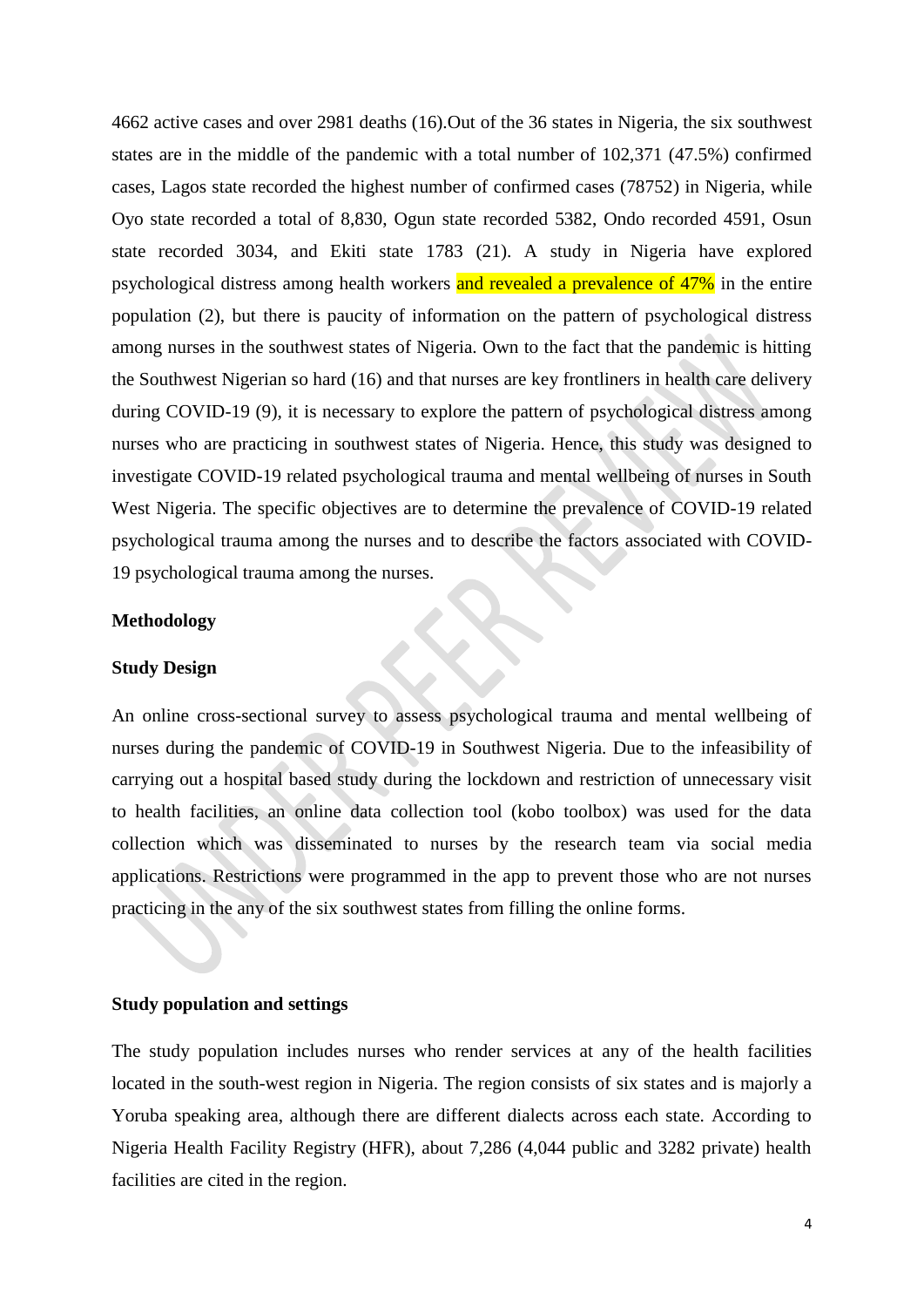4662 active cases and over 2981 deaths (16).Out of the 36 states in Nigeria, the six southwest states are in the middle of the pandemic with a total number of 102,371 (47.5%) confirmed cases, Lagos state recorded the highest number of confirmed cases (78752) in Nigeria, while Oyo state recorded a total of 8,830, Ogun state recorded 5382, Ondo recorded 4591, Osun state recorded 3034, and Ekiti state 1783 (21). A study in Nigeria have explored psychological distress among health workers and revealed a prevalence of 47% in the entire population (2), but there is paucity of information on the pattern of psychological distress among nurses in the southwest states of Nigeria. Own to the fact that the pandemic is hitting the Southwest Nigerian so hard (16) and that nurses are key frontliners in health care delivery during COVID-19 (9), it is necessary to explore the pattern of psychological distress among nurses who are practicing in southwest states of Nigeria. Hence, this study was designed to investigate COVID-19 related psychological trauma and mental wellbeing of nurses in South West Nigeria. The specific objectives are to determine the prevalence of COVID-19 related psychological trauma among the nurses and to describe the factors associated with COVID-19 psychological trauma among the nurses.

#### **Methodology**

#### **Study Design**

An online cross-sectional survey to assess psychological trauma and mental wellbeing of nurses during the pandemic of COVID-19 in Southwest Nigeria. Due to the infeasibility of carrying out a hospital based study during the lockdown and restriction of unnecessary visit to health facilities, an online data collection tool (kobo toolbox) was used for the data collection which was disseminated to nurses by the research team via social media applications. Restrictions were programmed in the app to prevent those who are not nurses practicing in the any of the six southwest states from filling the online forms.

## **Study population and settings**

The study population includes nurses who render services at any of the health facilities located in the south-west region in Nigeria. The region consists of six states and is majorly a Yoruba speaking area, although there are different dialects across each state. According to Nigeria Health Facility Registry (HFR), about 7,286 (4,044 public and 3282 private) health facilities are cited in the region.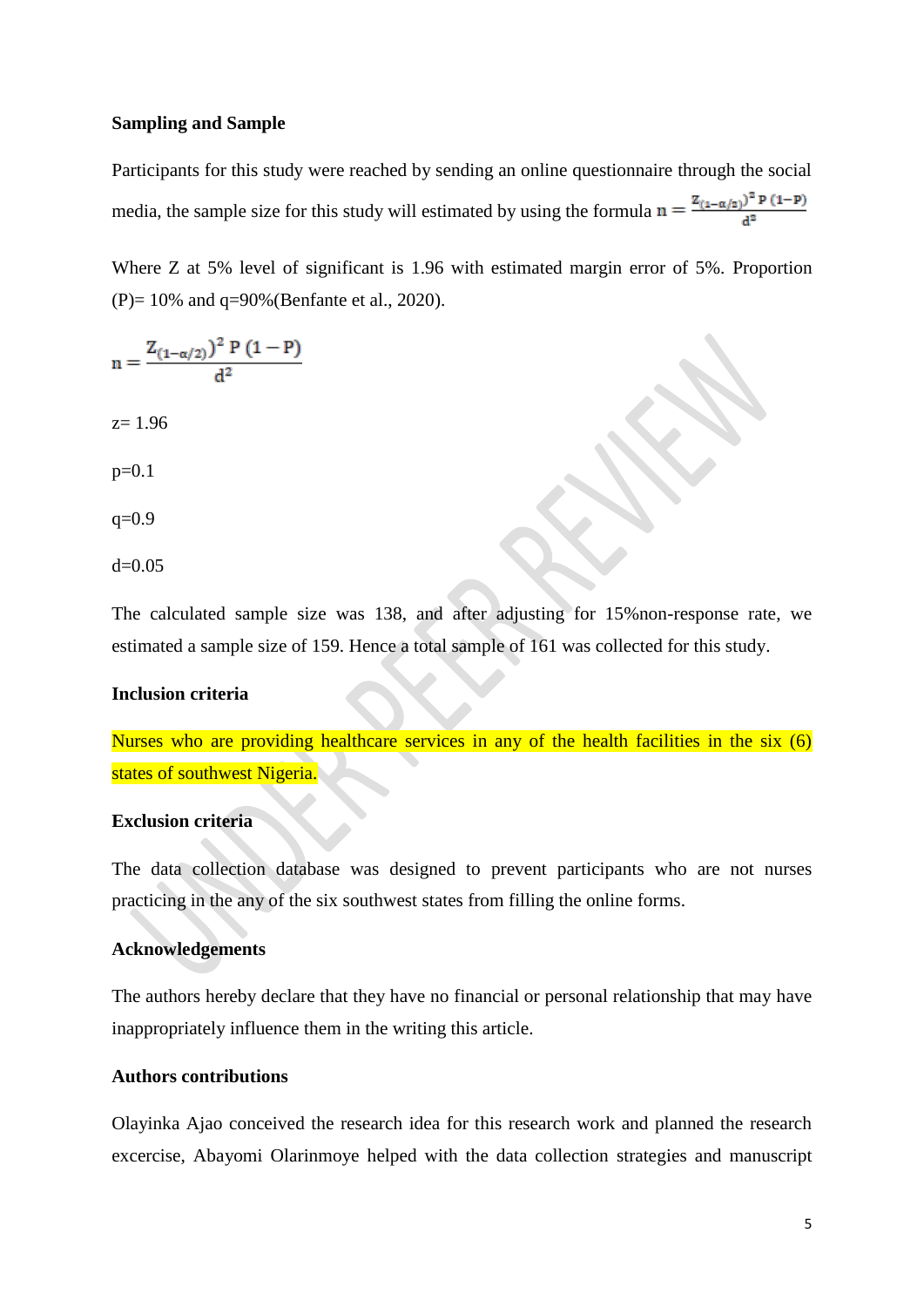### **Sampling and Sample**

Participants for this study were reached by sending an online questionnaire through the social media, the sample size for this study will estimated by using the formula  $n = \frac{Z_{(1-\alpha/2)}^2 P (1-P)}{A^2}$ 

Where Z at 5% level of significant is 1.96 with estimated margin error of 5%. Proportion (P)= 10% and q=90%[\(Benfante et al., 2020\)](#page-13-0).

 $n = \frac{Z_{(1-\alpha/2)})^2 P (1-P)}{d^2}$  $z= 1.96$ p=0.1  $q=0.9$ 

 $d=0.05$ 

The calculated sample size was 138, and after adjusting for 15%non-response rate, we estimated a sample size of 159. Hence a total sample of 161 was collected for this study.

## **Inclusion criteria**

Nurses who are providing healthcare services in any of the health facilities in the six (6) states of southwest Nigeria.

#### **Exclusion criteria**

The data collection database was designed to prevent participants who are not nurses practicing in the any of the six southwest states from filling the online forms.

## **Acknowledgements**

The authors hereby declare that they have no financial or personal relationship that may have inappropriately influence them in the writing this article.

## **Authors contributions**

Olayinka Ajao conceived the research idea for this research work and planned the research excercise, Abayomi Olarinmoye helped with the data collection strategies and manuscript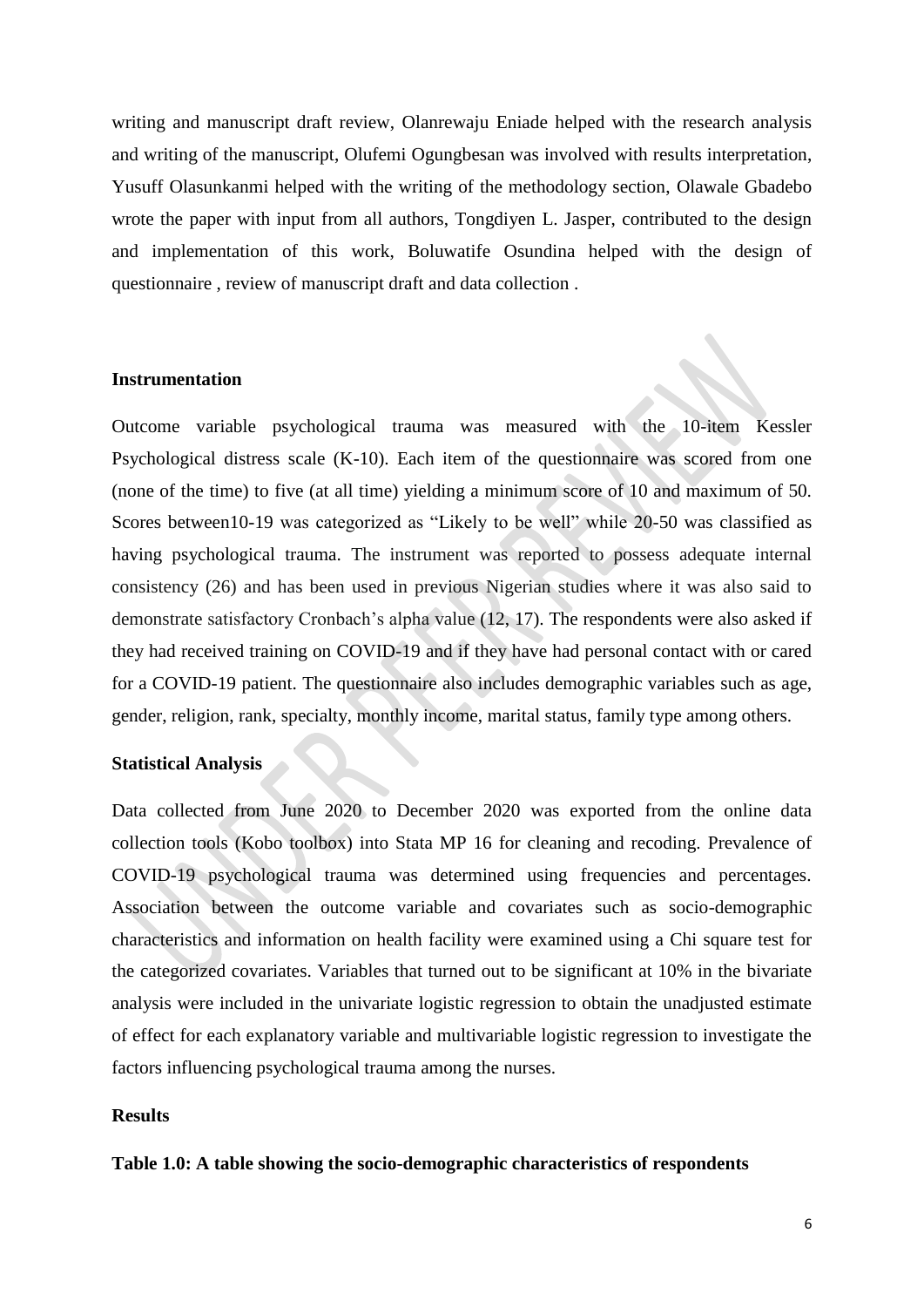writing and manuscript draft review, Olanrewaju Eniade helped with the research analysis and writing of the manuscript, Olufemi Ogungbesan was involved with results interpretation, Yusuff Olasunkanmi helped with the writing of the methodology section, Olawale Gbadebo wrote the paper with input from all authors, Tongdiyen L. Jasper, contributed to the design and implementation of this work, Boluwatife Osundina helped with the design of questionnaire , review of manuscript draft and data collection .

#### **Instrumentation**

Outcome variable psychological trauma was measured with the 10-item Kessler Psychological distress scale (K-10). Each item of the questionnaire was scored from one (none of the time) to five (at all time) yielding a minimum score of 10 and maximum of 50. Scores between10-19 was categorized as "Likely to be well" while 20-50 was classified as having psychological trauma. The instrument was reported to possess adequate internal consistency (26) and has been used in previous Nigerian studies where it was also said to demonstrate satisfactory Cronbach's alpha value (12, 17). The respondents were also asked if they had received training on COVID-19 and if they have had personal contact with or cared for a COVID-19 patient. The questionnaire also includes demographic variables such as age, gender, religion, rank, specialty, monthly income, marital status, family type among others.

#### **Statistical Analysis**

Data collected from June 2020 to December 2020 was exported from the online data collection tools (Kobo toolbox) into Stata MP 16 for cleaning and recoding. Prevalence of COVID-19 psychological trauma was determined using frequencies and percentages. Association between the outcome variable and covariates such as socio-demographic characteristics and information on health facility were examined using a Chi square test for the categorized covariates. Variables that turned out to be significant at 10% in the bivariate analysis were included in the univariate logistic regression to obtain the unadjusted estimate of effect for each explanatory variable and multivariable logistic regression to investigate the factors influencing psychological trauma among the nurses.

### **Results**

#### **Table 1.0: A table showing the socio-demographic characteristics of respondents**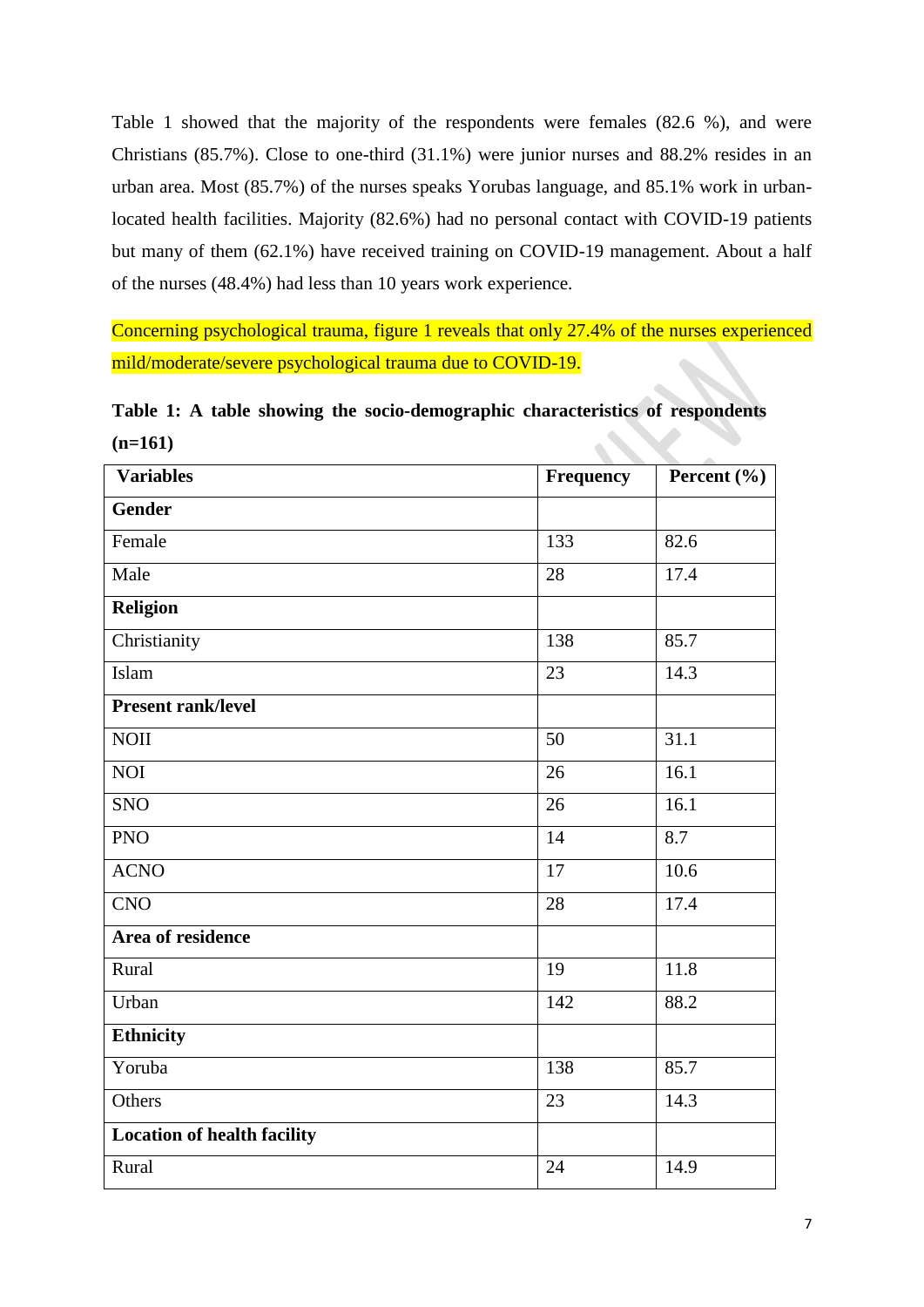Table 1 showed that the majority of the respondents were females (82.6 %), and were Christians (85.7%). Close to one-third (31.1%) were junior nurses and 88.2% resides in an urban area. Most (85.7%) of the nurses speaks Yorubas language, and 85.1% work in urbanlocated health facilities. Majority (82.6%) had no personal contact with COVID-19 patients but many of them (62.1%) have received training on COVID-19 management. About a half of the nurses (48.4%) had less than 10 years work experience.

Concerning psychological trauma, figure 1 reveals that only 27.4% of the nurses experienced mild/moderate/severe psychological trauma due to COVID-19.

**Table 1: A table showing the socio-demographic characteristics of respondents (n=161)**

| <b>Variables</b>                   | Frequency       | Percent $(\% )$ |
|------------------------------------|-----------------|-----------------|
| <b>Gender</b>                      |                 |                 |
| Female                             | 133             | 82.6            |
| Male                               | 28              | 17.4            |
| Religion                           |                 |                 |
| Christianity                       | 138             | 85.7            |
| Islam                              | 23              | 14.3            |
| Present rank/level                 |                 |                 |
| <b>NOII</b>                        | 50              | 31.1            |
| <b>NOI</b>                         | 26              | 16.1            |
| <b>SNO</b>                         | 26              | 16.1            |
| <b>PNO</b>                         | 14              | 8.7             |
| <b>ACNO</b>                        | 17              | 10.6            |
| CNO                                | $\overline{28}$ | 17.4            |
| Area of residence                  |                 |                 |
| Rural                              | 19              | 11.8            |
| Urban                              | 142             | 88.2            |
| <b>Ethnicity</b>                   |                 |                 |
| Yoruba                             | 138             | 85.7            |
| Others                             | 23              | 14.3            |
| <b>Location of health facility</b> |                 |                 |
| Rural                              | 24              | 14.9            |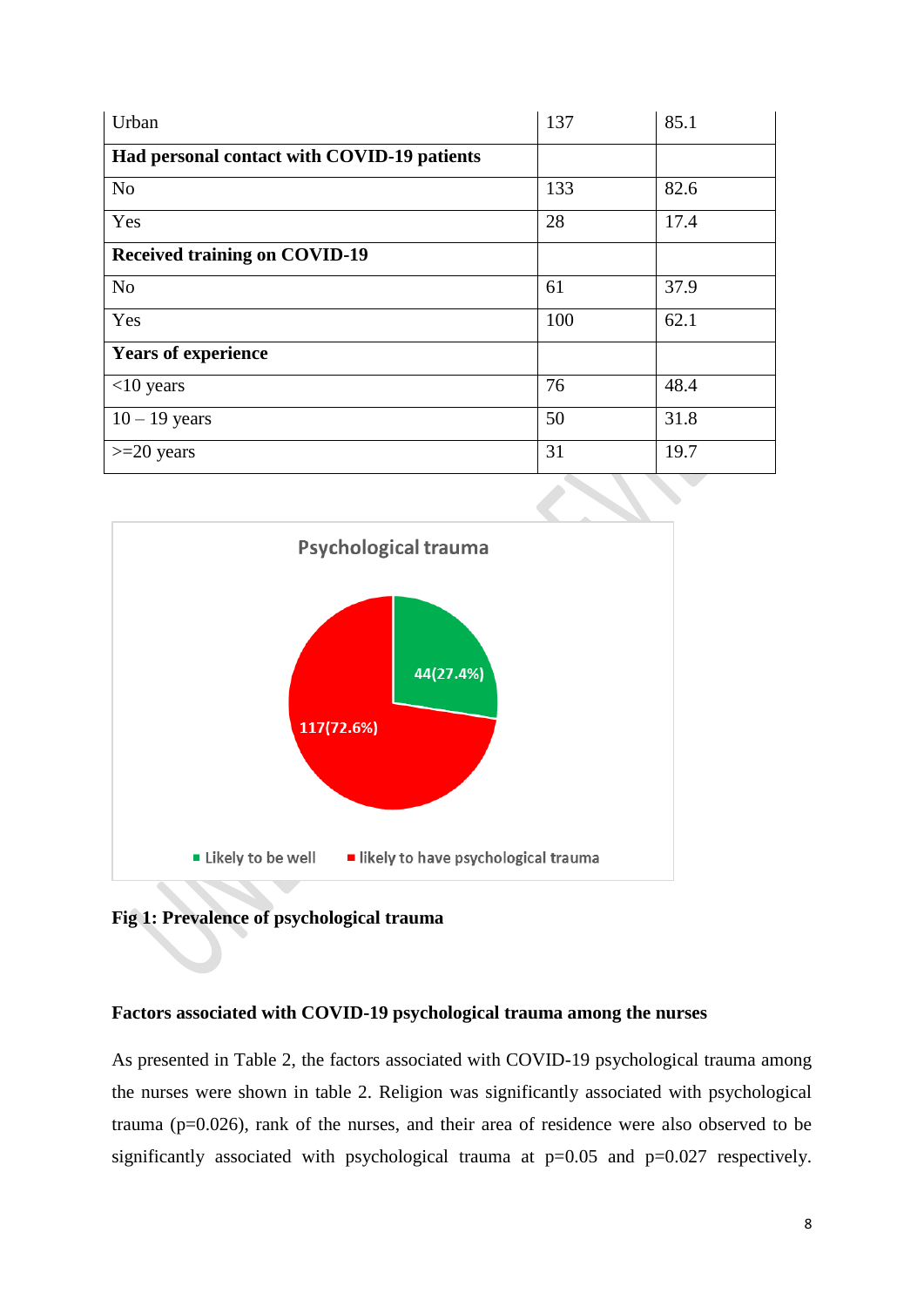| Urban                                       | 137 | 85.1 |
|---------------------------------------------|-----|------|
| Had personal contact with COVID-19 patients |     |      |
| N <sub>o</sub>                              | 133 | 82.6 |
| Yes                                         | 28  | 17.4 |
| <b>Received training on COVID-19</b>        |     |      |
| N <sub>o</sub>                              | 61  | 37.9 |
| Yes                                         | 100 | 62.1 |
| <b>Years of experience</b>                  |     |      |
| $<$ 10 years                                | 76  | 48.4 |
| $10 - 19$ years                             | 50  | 31.8 |
| $>=20$ years                                | 31  | 19.7 |



**Fig 1: Prevalence of psychological trauma**

## **Factors associated with COVID-19 psychological trauma among the nurses**

As presented in Table 2, the factors associated with COVID-19 psychological trauma among the nurses were shown in table 2. Religion was significantly associated with psychological trauma (p=0.026), rank of the nurses, and their area of residence were also observed to be significantly associated with psychological trauma at  $p=0.05$  and  $p=0.027$  respectively.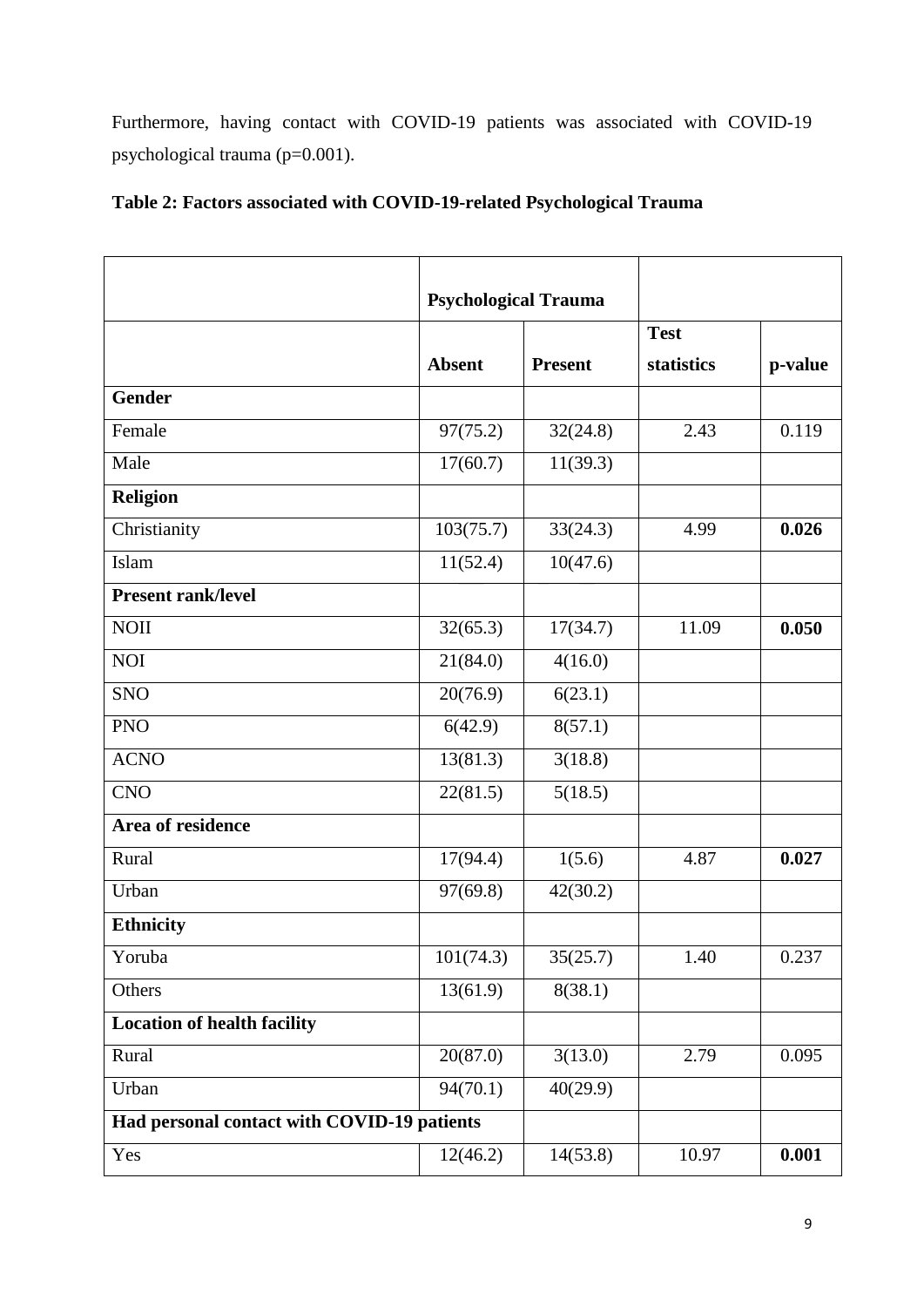Furthermore, having contact with COVID-19 patients was associated with COVID-19 psychological trauma (p=0.001).

|                                             |               | <b>Psychological Trauma</b> |             |         |
|---------------------------------------------|---------------|-----------------------------|-------------|---------|
|                                             |               |                             | <b>Test</b> |         |
|                                             | <b>Absent</b> | <b>Present</b>              | statistics  | p-value |
| <b>Gender</b>                               |               |                             |             |         |
| Female                                      | 97(75.2)      | 32(24.8)                    | 2.43        | 0.119   |
| Male                                        | 17(60.7)      | 11(39.3)                    |             |         |
| <b>Religion</b>                             |               |                             |             |         |
| Christianity                                | 103(75.7)     | 33(24.3)                    | 4.99        | 0.026   |
| Islam                                       | 11(52.4)      | 10(47.6)                    |             |         |
| <b>Present rank/level</b>                   |               |                             |             |         |
| <b>NOII</b>                                 | 32(65.3)      | 17(34.7)                    | 11.09       | 0.050   |
| <b>NOI</b>                                  | 21(84.0)      | 4(16.0)                     |             |         |
| <b>SNO</b>                                  | 20(76.9)      | 6(23.1)                     |             |         |
| <b>PNO</b>                                  | 6(42.9)       | 8(57.1)                     |             |         |
| <b>ACNO</b>                                 | 13(81.3)      | 3(18.8)                     |             |         |
| <b>CNO</b>                                  | 22(81.5)      | 5(18.5)                     |             |         |
| Area of residence                           |               |                             |             |         |
| Rural                                       | 17(94.4)      | 1(5.6)                      | 4.87        | 0.027   |
| Urban                                       | 97(69.8)      | 42(30.2)                    |             |         |
| <b>Ethnicity</b>                            |               |                             |             |         |
| Yoruba                                      | 101(74.3)     | 35(25.7)                    | 1.40        | 0.237   |
| Others                                      | 13(61.9)      | 8(38.1)                     |             |         |
| <b>Location of health facility</b>          |               |                             |             |         |
| Rural                                       | 20(87.0)      | 3(13.0)                     | 2.79        | 0.095   |
| Urban                                       | 94(70.1)      | 40(29.9)                    |             |         |
| Had personal contact with COVID-19 patients |               |                             |             |         |
| Yes                                         | 12(46.2)      | 14(53.8)                    | 10.97       | 0.001   |

## **Table 2: Factors associated with COVID-19-related Psychological Trauma**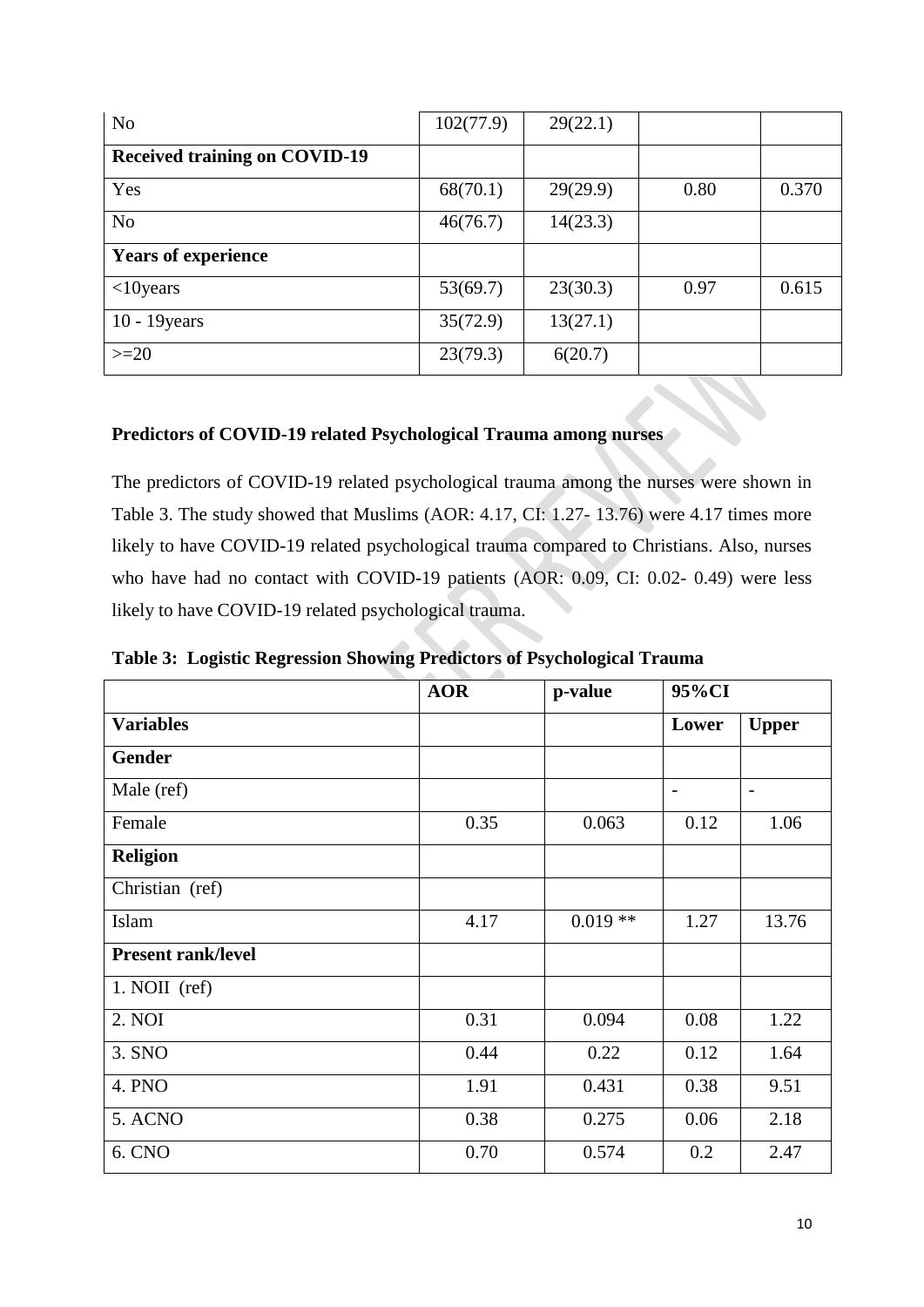| N <sub>o</sub>                       | 102(77.9) | 29(22.1) |      |       |
|--------------------------------------|-----------|----------|------|-------|
| <b>Received training on COVID-19</b> |           |          |      |       |
| Yes                                  | 68(70.1)  | 29(29.9) | 0.80 | 0.370 |
| N <sub>o</sub>                       | 46(76.7)  | 14(23.3) |      |       |
| <b>Years of experience</b>           |           |          |      |       |
| $<10$ years                          | 53(69.7)  | 23(30.3) | 0.97 | 0.615 |
| $10 - 19$ years                      | 35(72.9)  | 13(27.1) |      |       |
| $>=20$                               | 23(79.3)  | 6(20.7)  |      |       |

## **Predictors of COVID-19 related Psychological Trauma among nurses**

The predictors of COVID-19 related psychological trauma among the nurses were shown in Table 3. The study showed that Muslims (AOR: 4.17, CI: 1.27- 13.76) were 4.17 times more likely to have COVID-19 related psychological trauma compared to Christians. Also, nurses who have had no contact with COVID-19 patients (AOR: 0.09, CI: 0.02- 0.49) were less likely to have COVID-19 related psychological trauma.

**Table 3: Logistic Regression Showing Predictors of Psychological Trauma**

|                           | <b>AOR</b> | p-value   | 95%CI             |                          |
|---------------------------|------------|-----------|-------------------|--------------------------|
| <b>Variables</b>          |            |           | Lower             | <b>Upper</b>             |
| <b>Gender</b>             |            |           |                   |                          |
| Male (ref)                |            |           | $\qquad \qquad -$ | $\overline{\phantom{a}}$ |
| Female                    | 0.35       | 0.063     | 0.12              | 1.06                     |
| <b>Religion</b>           |            |           |                   |                          |
| Christian (ref)           |            |           |                   |                          |
| Islam                     | 4.17       | $0.019**$ | 1.27              | 13.76                    |
| <b>Present rank/level</b> |            |           |                   |                          |
| $1. \text{NOII}$ (ref)    |            |           |                   |                          |
| 2. NOI                    | 0.31       | 0.094     | 0.08              | 1.22                     |
| 3. SNO                    | 0.44       | 0.22      | 0.12              | 1.64                     |
| 4. PNO                    | 1.91       | 0.431     | 0.38              | 9.51                     |
| 5. ACNO                   | 0.38       | 0.275     | 0.06              | 2.18                     |
| 6. CNO                    | 0.70       | 0.574     | 0.2               | 2.47                     |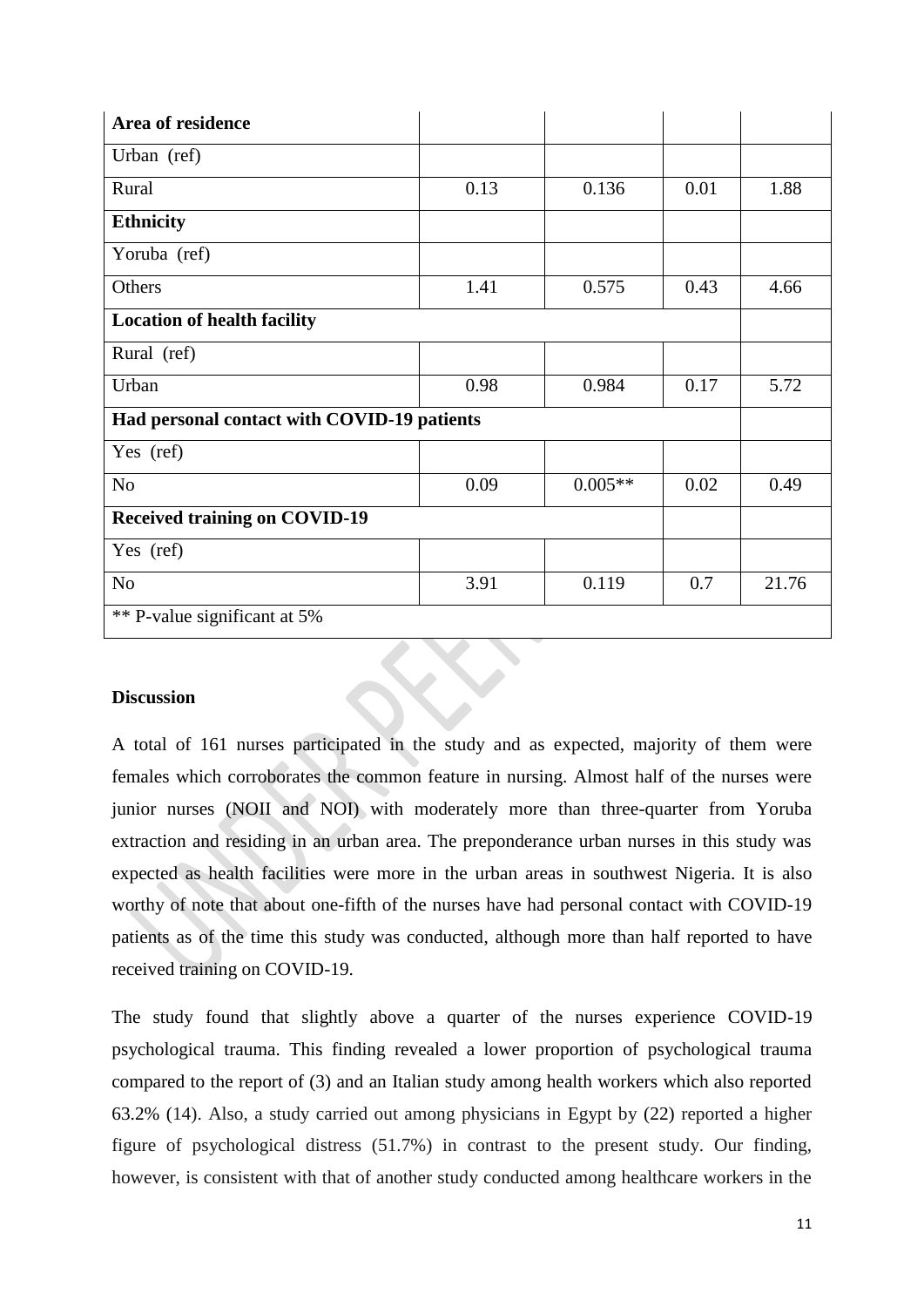| Area of residence                           |      |           |      |       |
|---------------------------------------------|------|-----------|------|-------|
| Urban (ref)                                 |      |           |      |       |
| Rural                                       | 0.13 | 0.136     | 0.01 | 1.88  |
| <b>Ethnicity</b>                            |      |           |      |       |
| Yoruba (ref)                                |      |           |      |       |
| Others                                      | 1.41 | 0.575     | 0.43 | 4.66  |
| <b>Location of health facility</b>          |      |           |      |       |
| Rural (ref)                                 |      |           |      |       |
| Urban                                       | 0.98 | 0.984     | 0.17 | 5.72  |
| Had personal contact with COVID-19 patients |      |           |      |       |
| Yes (ref)                                   |      |           |      |       |
| N <sub>o</sub>                              | 0.09 | $0.005**$ | 0.02 | 0.49  |
| <b>Received training on COVID-19</b>        |      |           |      |       |
| Yes (ref)                                   |      |           |      |       |
| N <sub>o</sub>                              | 3.91 | 0.119     | 0.7  | 21.76 |
| ** P-value significant at 5%                |      |           |      |       |

## **Discussion**

A total of 161 nurses participated in the study and as expected, majority of them were females which corroborates the common feature in nursing. Almost half of the nurses were junior nurses (NOII and NOI) with moderately more than three-quarter from Yoruba extraction and residing in an urban area. The preponderance urban nurses in this study was expected as health facilities were more in the urban areas in southwest Nigeria. It is also worthy of note that about one-fifth of the nurses have had personal contact with COVID-19 patients as of the time this study was conducted, although more than half reported to have received training on COVID-19.

The study found that slightly above a quarter of the nurses experience COVID-19 psychological trauma. This finding revealed a lower proportion of psychological trauma compared to the report of (3) and an Italian study among health workers which also reported 63.2% (14). Also, a study carried out among physicians in Egypt by (22) reported a higher figure of psychological distress (51.7%) in contrast to the present study. Our finding, however, is consistent with that of another study conducted among healthcare workers in the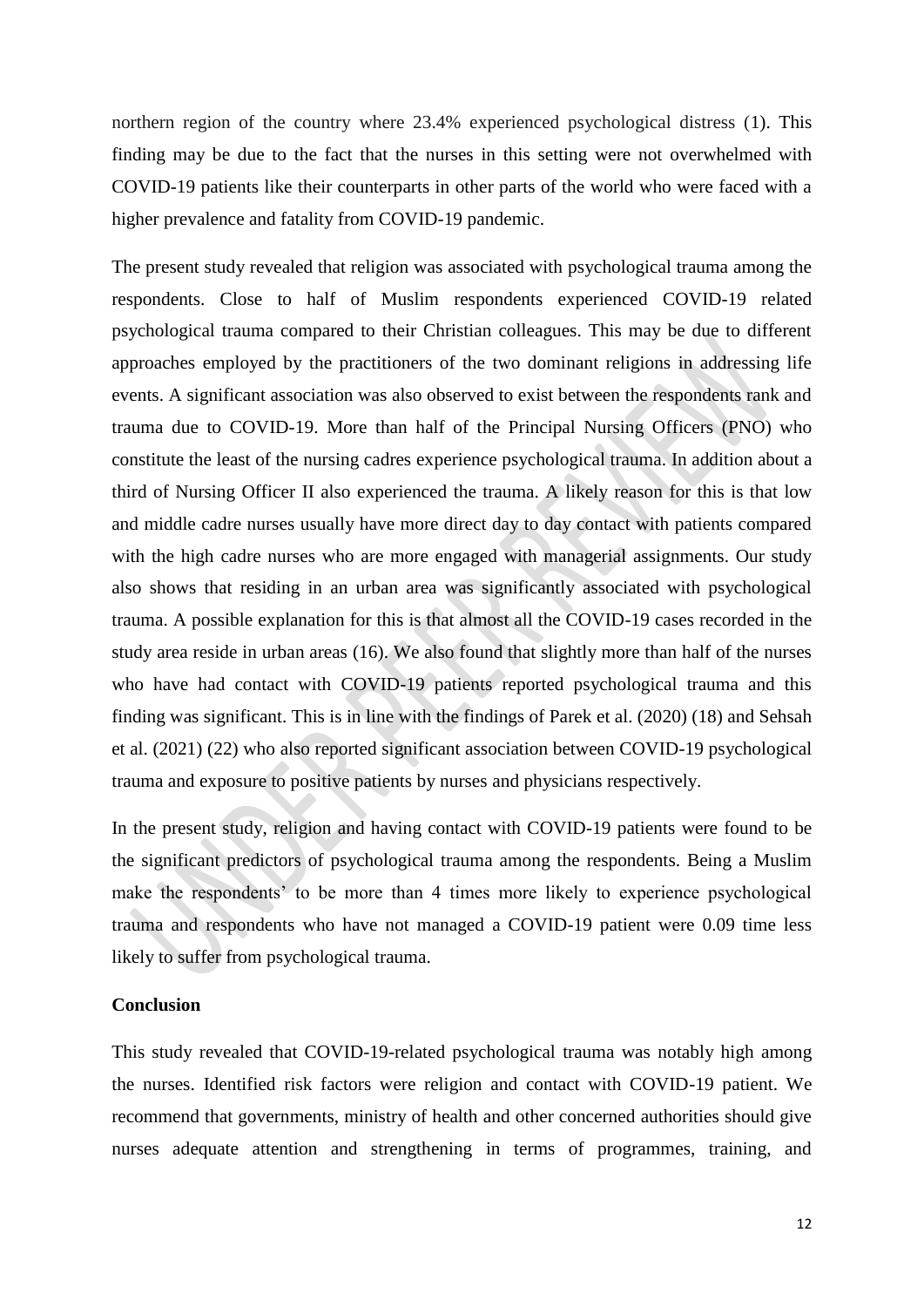northern region of the country where 23.4% experienced psychological distress (1). This finding may be due to the fact that the nurses in this setting were not overwhelmed with COVID-19 patients like their counterparts in other parts of the world who were faced with a higher prevalence and fatality from COVID-19 pandemic.

The present study revealed that religion was associated with psychological trauma among the respondents. Close to half of Muslim respondents experienced COVID-19 related psychological trauma compared to their Christian colleagues. This may be due to different approaches employed by the practitioners of the two dominant religions in addressing life events. A significant association was also observed to exist between the respondents rank and trauma due to COVID-19. More than half of the Principal Nursing Officers (PNO) who constitute the least of the nursing cadres experience psychological trauma. In addition about a third of Nursing Officer II also experienced the trauma. A likely reason for this is that low and middle cadre nurses usually have more direct day to day contact with patients compared with the high cadre nurses who are more engaged with managerial assignments. Our study also shows that residing in an urban area was significantly associated with psychological trauma. A possible explanation for this is that almost all the COVID-19 cases recorded in the study area reside in urban areas (16). We also found that slightly more than half of the nurses who have had contact with COVID-19 patients reported psychological trauma and this finding was significant. This is in line with the findings of Parek et al. (2020) (18) and Sehsah et al. (2021) (22) who also reported significant association between COVID-19 psychological trauma and exposure to positive patients by nurses and physicians respectively.

In the present study, religion and having contact with COVID-19 patients were found to be the significant predictors of psychological trauma among the respondents. Being a Muslim make the respondents' to be more than 4 times more likely to experience psychological trauma and respondents who have not managed a COVID-19 patient were 0.09 time less likely to suffer from psychological trauma.

#### **Conclusion**

This study revealed that COVID-19-related psychological trauma was notably high among the nurses. Identified risk factors were religion and contact with COVID-19 patient. We recommend that governments, ministry of health and other concerned authorities should give nurses adequate attention and strengthening in terms of programmes, training, and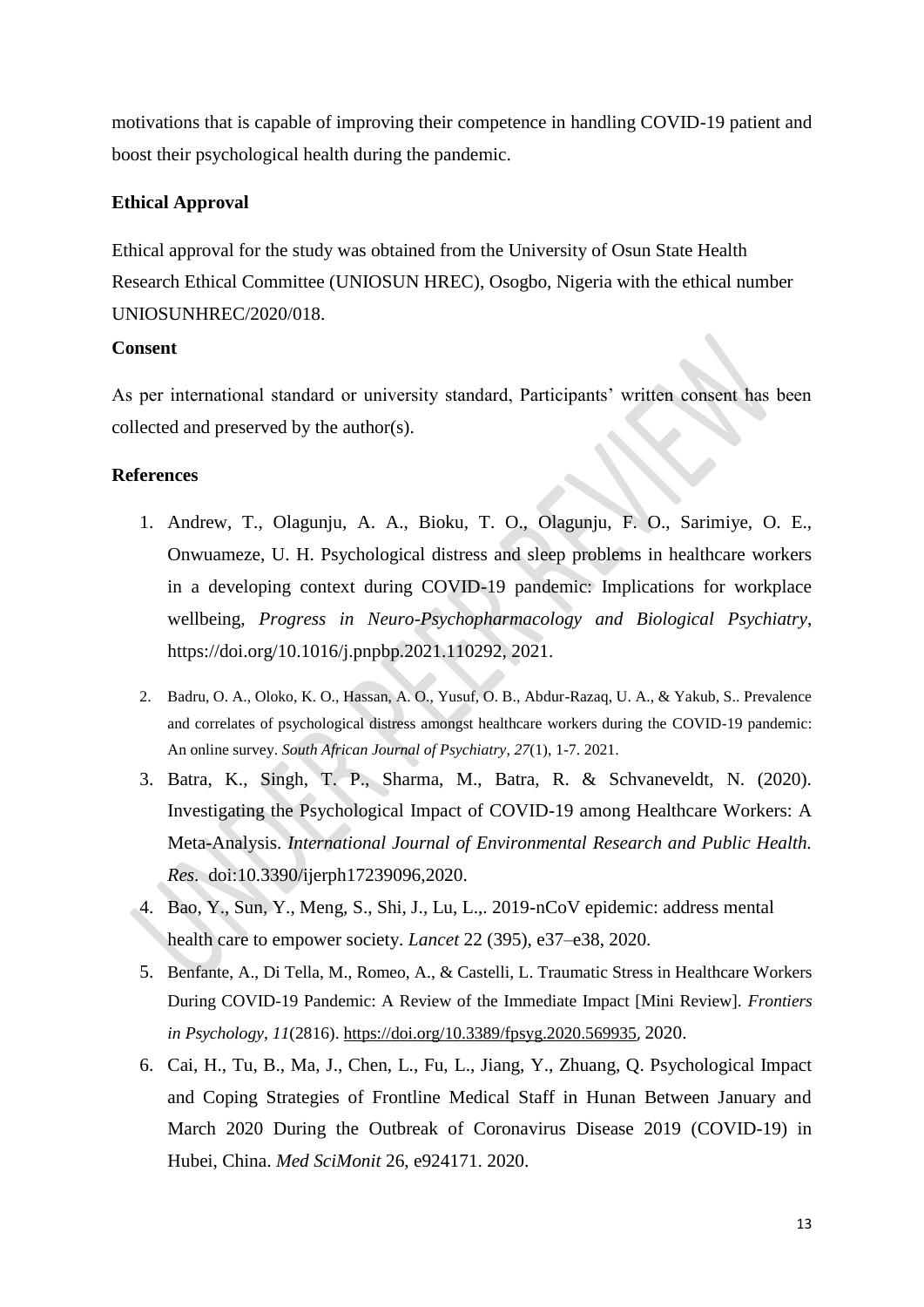motivations that is capable of improving their competence in handling COVID-19 patient and boost their psychological health during the pandemic.

## **Ethical Approval**

Ethical approval for the study was obtained from the University of Osun State Health Research Ethical Committee (UNIOSUN HREC), Osogbo, Nigeria with the ethical number UNIOSUNHREC/2020/018.

## **Consent**

As per international standard or university standard, Participants' written consent has been collected and preserved by the author(s).

## **References**

- 1. Andrew, T., Olagunju, A. A., Bioku, T. O., Olagunju, F. O., Sarimiye, O. E., Onwuameze, U. H. Psychological distress and sleep problems in healthcare workers in a developing context during COVID-19 pandemic: Implications for workplace wellbeing, *Progress in Neuro-Psychopharmacology and Biological Psychiatry*, [https://doi.org/10.1016/j.pnpbp.2021.110292,](https://doi.org/10.1016/j.pnpbp.2021.110292) 2021.
- 2. Badru, O. A., Oloko, K. O., Hassan, A. O., Yusuf, O. B., Abdur-Razaq, U. A., & Yakub, S.. Prevalence and correlates of psychological distress amongst healthcare workers during the COVID-19 pandemic: An online survey. *South African Journal of Psychiatry*, *27*(1), 1-7. 2021.
- 3. Batra, K., Singh, T. P., Sharma, M., Batra, R. & Schvaneveldt, N. (2020). Investigating the Psychological Impact of COVID-19 among Healthcare Workers: A Meta-Analysis. *International Journal of Environmental Research and Public Health. Res*. doi:10.3390/ijerph17239096,2020.
- 4. Bao, Y., Sun, Y., Meng, S., Shi, J., Lu, L.,. 2019-nCoV epidemic: address mental health care to empower society. *Lancet* 22 (395), e37–e38, 2020.
- 5. Benfante, A., Di Tella, M., Romeo, A., & Castelli, L. Traumatic Stress in Healthcare Workers During COVID-19 Pandemic: A Review of the Immediate Impact [Mini Review]. *Frontiers in Psychology*, *11*(2816).<https://doi.org/10.3389/fpsyg.2020.569935>, 2020.
- 6. Cai, H., Tu, B., Ma, J., Chen, L., Fu, L., Jiang, Y., Zhuang, Q. Psychological Impact and Coping Strategies of Frontline Medical Staff in Hunan Between January and March 2020 During the Outbreak of Coronavirus Disease 2019 (COVID-19) in Hubei, China. *Med SciMonit* 26, e924171. 2020.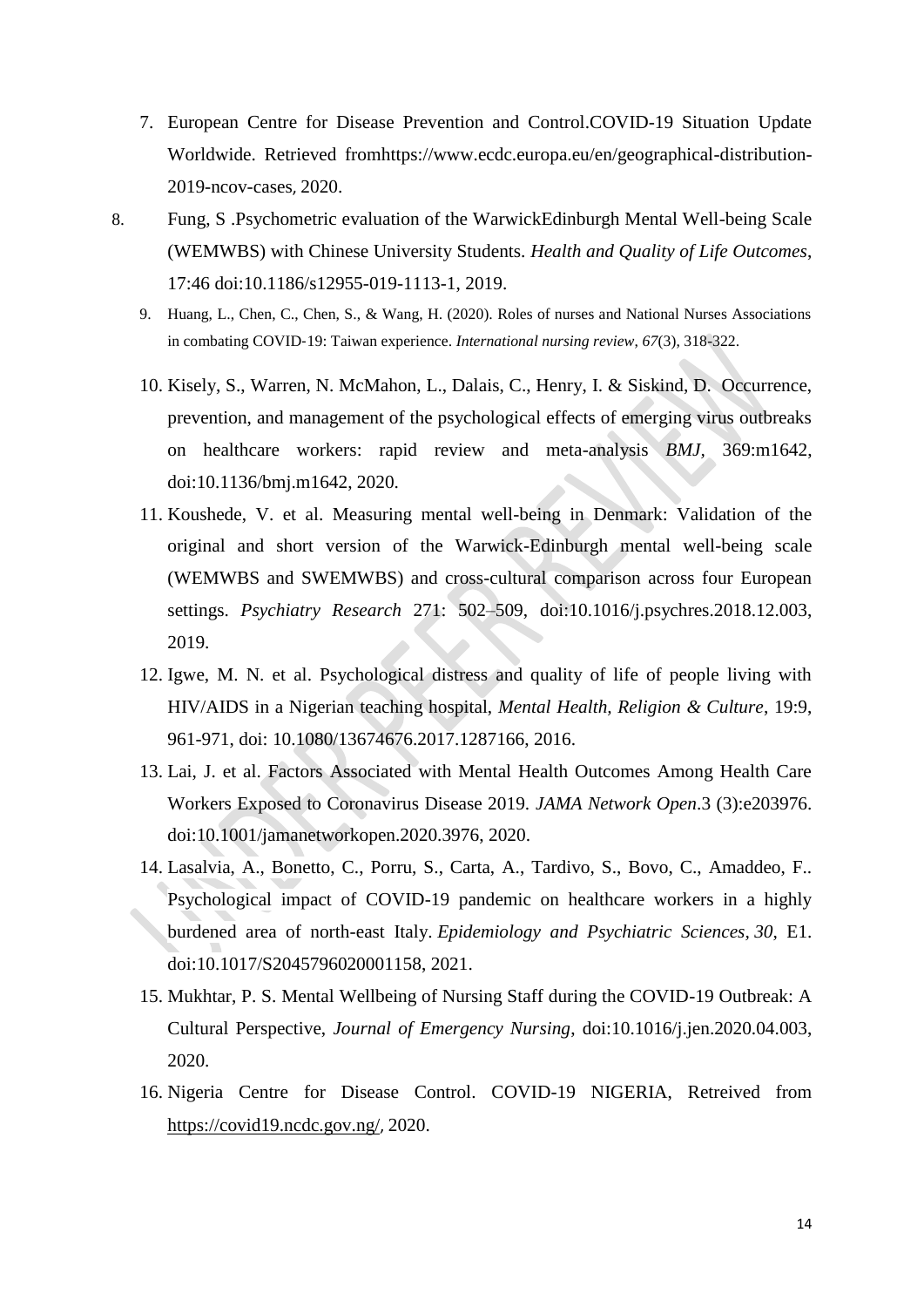- <span id="page-13-0"></span>7. European Centre for Disease Prevention and Control.COVID-19 Situation Update Worldwide. Retrieved fro[mhttps://www.ecdc.europa.eu/en/geographical-distribution-](https://www.ecdc.europa.eu/en/geographical-distribution-2019-ncov-cases)[2019-ncov-cases](https://www.ecdc.europa.eu/en/geographical-distribution-2019-ncov-cases), 2020.
- 8. Fung, S .Psychometric evaluation of the WarwickEdinburgh Mental Well-being Scale (WEMWBS) with Chinese University Students. *Health and Quality of Life Outcomes*, 17:46 doi:10.1186/s12955-019-1113-1, 2019.
	- 9. Huang, L., Chen, C., Chen, S., & Wang, H. (2020). Roles of nurses and National Nurses Associations in combating COVID‐19: Taiwan experience. *International nursing review*, *67*(3), 318-322.
	- 10. Kisely, S., Warren, N. McMahon, L., Dalais, C., Henry, I. & Siskind, D. Occurrence, prevention, and management of the psychological effects of emerging virus outbreaks on healthcare workers: rapid review and meta-analysis *BMJ,* 369:m1642, doi:10.1136/bmj.m1642, 2020.
	- 11. Koushede, V. et al. Measuring mental well-being in Denmark: Validation of the original and short version of the Warwick-Edinburgh mental well-being scale (WEMWBS and SWEMWBS) and cross-cultural comparison across four European settings. *Psychiatry Research* 271: 502–509, doi:10.1016/j.psychres.2018.12.003, 2019.
	- 12. Igwe, M. N. et al. Psychological distress and quality of life of people living with HIV/AIDS in a Nigerian teaching hospital, *Mental Health, Religion & Culture*, 19:9, 961-971, doi: 10.1080/13674676.2017.1287166, 2016.
	- 13. Lai, J. et al. Factors Associated with Mental Health Outcomes Among Health Care Workers Exposed to Coronavirus Disease 2019. *JAMA Network Open*.3 (3):e203976. doi:10.1001/jamanetworkopen.2020.3976, 2020.
	- 14. Lasalvia, A., Bonetto, C., Porru, S., Carta, A., Tardivo, S., Bovo, C., Amaddeo, F.. Psychological impact of COVID-19 pandemic on healthcare workers in a highly burdened area of north-east Italy. *Epidemiology and Psychiatric Sciences, 30*, E1. doi:10.1017/S2045796020001158, 2021.
	- 15. Mukhtar, P. S. Mental Wellbeing of Nursing Staff during the COVID-19 Outbreak: A Cultural Perspective, *Journal of Emergency Nursing*, doi:10.1016/j.jen.2020.04.003, 2020.
	- 16. Nigeria Centre for Disease Control. COVID-19 NIGERIA, Retreived from <https://covid19.ncdc.gov.ng/>, 2020.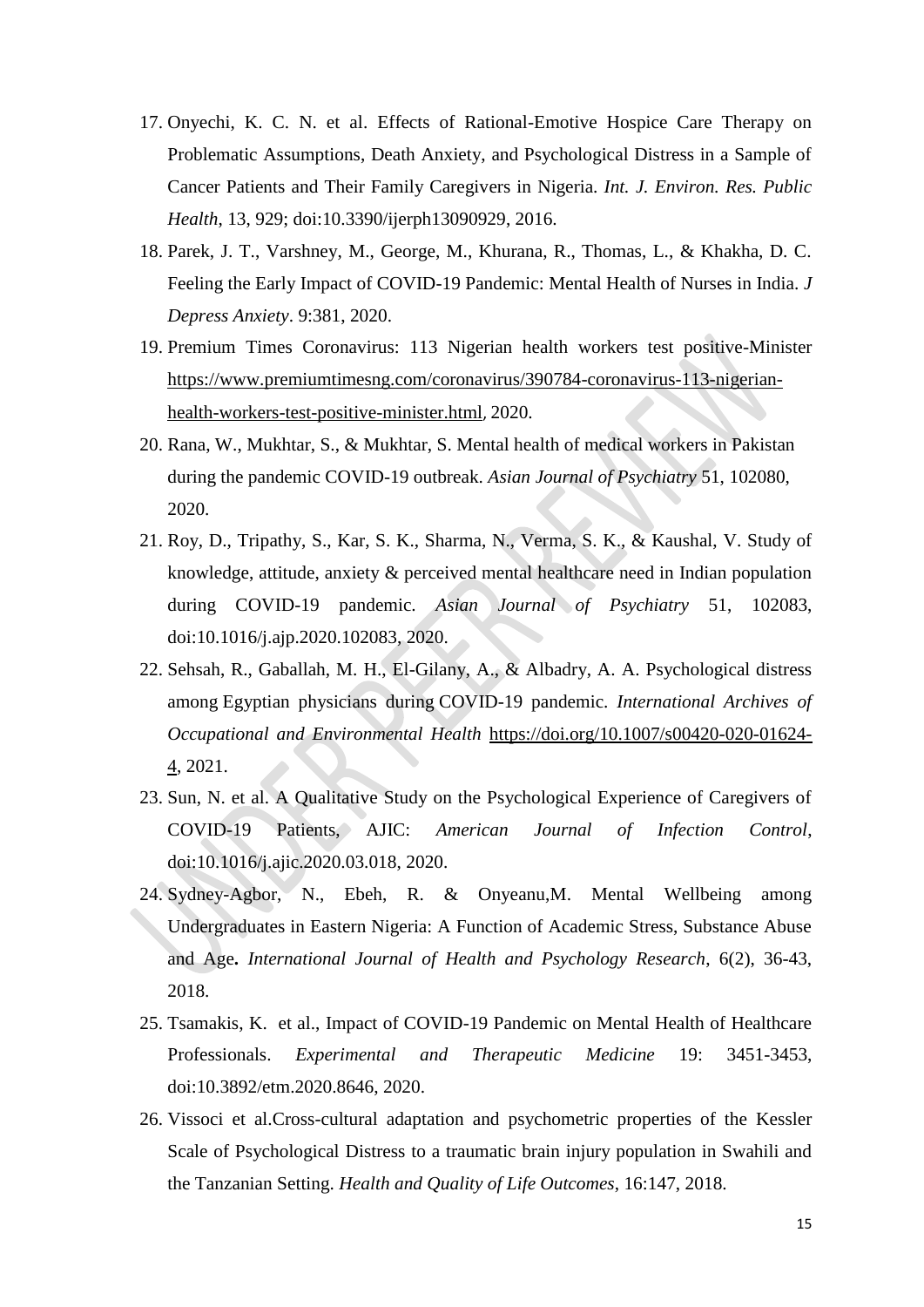- 17. Onyechi, K. C. N. et al. Effects of Rational-Emotive Hospice Care Therapy on Problematic Assumptions, Death Anxiety, and Psychological Distress in a Sample of Cancer Patients and Their Family Caregivers in Nigeria. *Int. J. Environ. Res. Public Health*, 13, 929; doi:10.3390/ijerph13090929, 2016.
- 18. Parek, J. T., Varshney, M., George, M., Khurana, R., Thomas, L., & Khakha, D. C. Feeling the Early Impact of COVID-19 Pandemic: Mental Health of Nurses in India. *J Depress Anxiety*. 9:381, 2020.
- 19. Premium Times Coronavirus: 113 Nigerian health workers test positive-Minister [https://www.premiumtimesng.com/coronavirus/390784-coronavirus-113-nigerian](https://www.premiumtimesng.com/coronavirus/390784-coronavirus-113-nigerian-health-workers-test-positive-minister.html)[health-workers-test-positive-minister.html](https://www.premiumtimesng.com/coronavirus/390784-coronavirus-113-nigerian-health-workers-test-positive-minister.html), 2020.
- 20. Rana, W., Mukhtar, S., & Mukhtar, S. Mental health of medical workers in Pakistan during the pandemic COVID-19 outbreak. *Asian Journal of Psychiatry* 51, 102080, 2020.
- 21. Roy, D., Tripathy, S., Kar, S. K., Sharma, N., Verma, S. K., & Kaushal, V. Study of knowledge, attitude, anxiety & perceived mental healthcare need in Indian population during COVID-19 pandemic. *Asian Journal of Psychiatry* 51, 102083, doi:10.1016/j.ajp.2020.102083, 2020.
- 22. Sehsah, R., Gaballah, M. H., El-Gilany, A., & Albadry, A. A. Psychological distress among Egyptian physicians during COVID-19 pandemic. *International Archives of Occupational and Environmental Health* [https://doi.org/10.1007/s00420-020-01624-](https://doi.org/10.1007/s00420-020-01624-4) [4,](https://doi.org/10.1007/s00420-020-01624-4) 2021.
- 23. Sun, N. et al. A Qualitative Study on the Psychological Experience of Caregivers of COVID-19 Patients, AJIC: *American Journal of Infection Control*, doi:10.1016/j.ajic.2020.03.018, 2020.
- 24. Sydney-Agbor, N., Ebeh, R. & Onyeanu,M. Mental Wellbeing among Undergraduates in Eastern Nigeria: A Function of Academic Stress, Substance Abuse and Age**.** *International Journal of Health and Psychology Research*, 6(2), 36-43, 2018.
- 25. Tsamakis, K. et al., Impact of COVID-19 Pandemic on Mental Health of Healthcare Professionals. *Experimental and Therapeutic Medicine* 19: 3451-3453, doi:10.3892/etm.2020.8646, 2020.
- 26. Vissoci et al.Cross-cultural adaptation and psychometric properties of the Kessler Scale of Psychological Distress to a traumatic brain injury population in Swahili and the Tanzanian Setting. *Health and Quality of Life Outcomes*, 16:147, 2018.